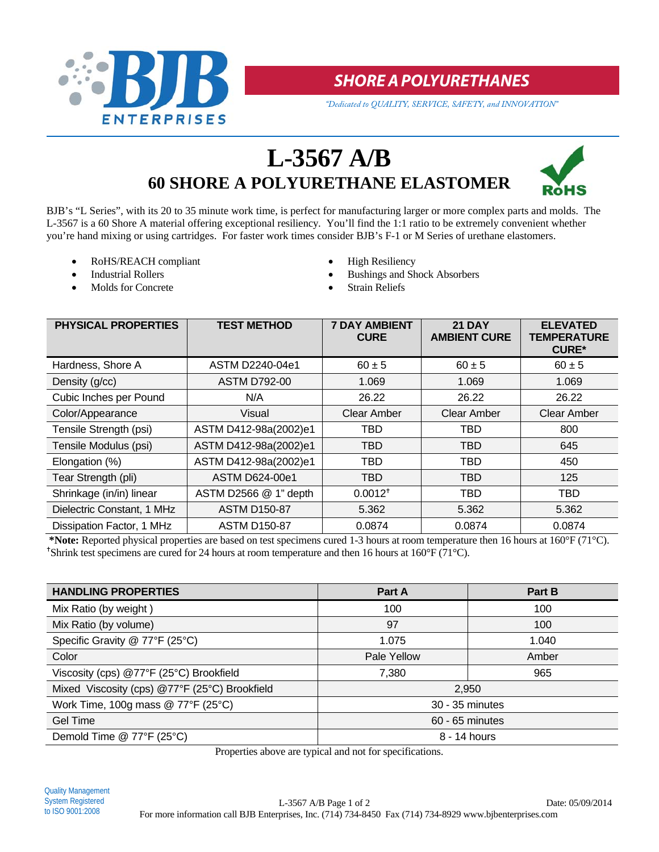

## **SHORE A POLYURETHANES**

*"Dedicated to QUALITY, SERVICE, SAFETY, and INNOVATION"*

# **L-3567 A/B 60 SHORE A POLYURETHANE ELASTOMER**



BJB's "L Series", with its 20 to 35 minute work time, is perfect for manufacturing larger or more complex parts and molds. The L-3567 is a 60 Shore A material offering exceptional resiliency. You'll find the 1:1 ratio to be extremely convenient whether you're hand mixing or using cartridges. For faster work times consider BJB's F-1 or M Series of urethane elastomers.

- RoHS/REACH compliant <br>
High Resiliency
- 
- Molds for Concrete Strain Reliefs
- 
- Industrial Rollers **Bushings and Shock Absorbers Bushings and Shock Absorbers** 
	-

| <b>PHYSICAL PROPERTIES</b> | <b>TEST METHOD</b>    | <b>7 DAY AMBIENT</b><br><b>CURE</b> | <b>21 DAY</b><br><b>AMBIENT CURE</b> | <b>ELEVATED</b><br><b>TEMPERATURE</b><br><b>CURE*</b> |
|----------------------------|-----------------------|-------------------------------------|--------------------------------------|-------------------------------------------------------|
| Hardness, Shore A          | ASTM D2240-04e1       | $60 \pm 5$                          | $60 \pm 5$                           | $60 \pm 5$                                            |
| Density (g/cc)             | <b>ASTM D792-00</b>   | 1.069                               | 1.069                                | 1.069                                                 |
| Cubic Inches per Pound     | N/A                   | 26.22                               | 26.22                                | 26.22                                                 |
| Color/Appearance           | Visual                | Clear Amber                         | Clear Amber                          | <b>Clear Amber</b>                                    |
| Tensile Strength (psi)     | ASTM D412-98a(2002)e1 | TBD                                 | TBD                                  | 800                                                   |
| Tensile Modulus (psi)      | ASTM D412-98a(2002)e1 | <b>TBD</b>                          | <b>TBD</b>                           | 645                                                   |
| Elongation (%)             | ASTM D412-98a(2002)e1 | TBD                                 | TBD                                  | 450                                                   |
| Tear Strength (pli)        | ASTM D624-00e1        | <b>TBD</b>                          | <b>TBD</b>                           | 125                                                   |
| Shrinkage (in/in) linear   | ASTM D2566 @ 1" depth | $0.0012^{+}$                        | TBD                                  | <b>TBD</b>                                            |
| Dielectric Constant, 1 MHz | <b>ASTM D150-87</b>   | 5.362                               | 5.362                                | 5.362                                                 |
| Dissipation Factor, 1 MHz  | <b>ASTM D150-87</b>   | 0.0874                              | 0.0874                               | 0.0874                                                |

**\*Note:** Reported physical properties are based on test specimens cured 1-3 hours at room temperature then 16 hours at 160°F (71°C). <sup>+</sup>Shrink test specimens are cured for 24 hours at room temperature and then 16 hours at 160 $\degree$ F (71 $\degree$ C).

| <b>HANDLING PROPERTIES</b>                    | Part A          | Part B |  |
|-----------------------------------------------|-----------------|--------|--|
| Mix Ratio (by weight)                         | 100             | 100    |  |
| Mix Ratio (by volume)                         | 97              | 100    |  |
| Specific Gravity @ 77°F (25°C)                | 1.075           | 1.040  |  |
| Color                                         | Pale Yellow     | Amber  |  |
| Viscosity (cps) @77°F (25°C) Brookfield       | 7,380           | 965    |  |
| Mixed Viscosity (cps) @77°F (25°C) Brookfield | 2,950           |        |  |
| Work Time, 100g mass $@$ 77°F (25°C)          | 30 - 35 minutes |        |  |
| Gel Time                                      | 60 - 65 minutes |        |  |
| Demold Time @ 77°F (25°C)                     | 8 - 14 hours    |        |  |

Properties above are typical and not for specifications.